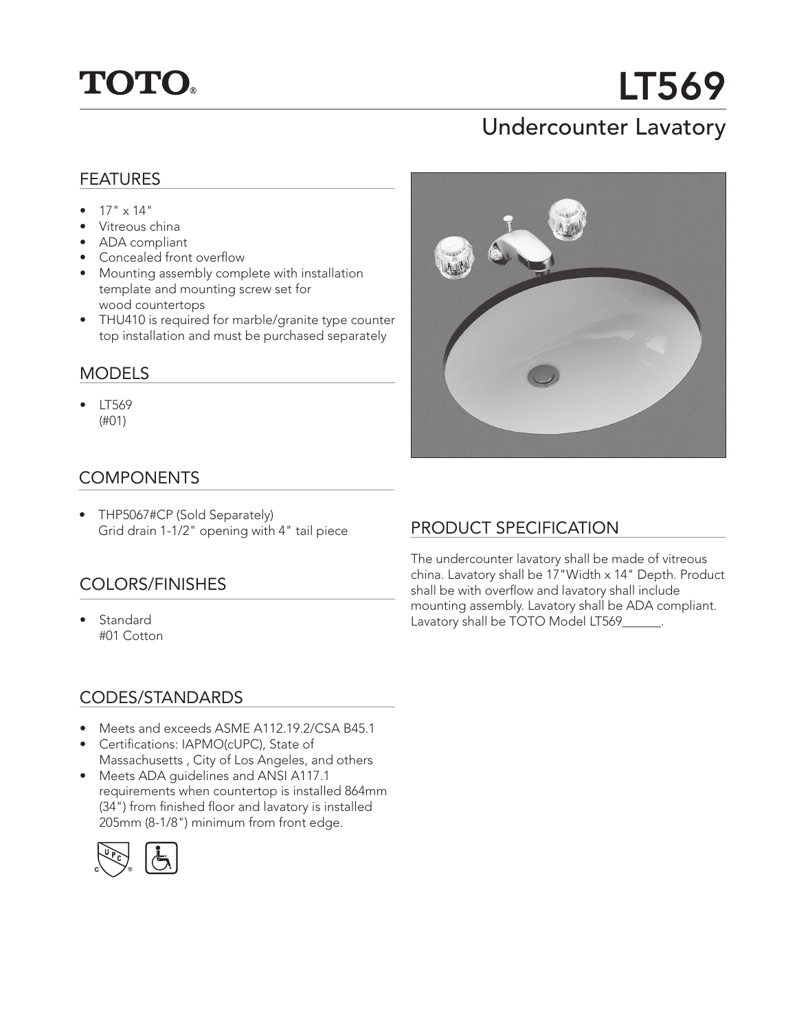

# LT569

## Undercounter Lavatory

#### FEATURES

- $17" \times 14"$
- Vitreous china
- ADA compliant
- Concealed front overflow
- Mounting assembly complete with installation template and mounting screw set for wood countertops
- THU410 is required for marble/granite type counter top installation and must be purchased separately

#### MODELS

• LT569 (#01)

#### **COMPONENTS**

• THP5067#CP (Sold Separately) Grid drain 1-1/2" opening with 4" tail piece

### COLORS/FINISHES

**Standard** #01 Cotton



### PRODUCT SPECIFICATION

The undercounter lavatory shall be made of vitreous china. Lavatory shall be 17"Width x 14" Depth. Product shall be with overflow and lavatory shall include mounting assembly. Lavatory shall be ADA compliant. Lavatory shall be TOTO Model LT569\_\_\_\_\_\_.

#### CODES/STANDARDS

- Meets and exceeds ASME A112.19.2/CSA B45.1
- Certifications: IAPMO(cUPC), State of Massachusetts , City of Los Angeles, and others
- Meets ADA guidelines and ANSI A117.1 requirements when countertop is installed 864mm (34") from finished floor and lavatory is installed